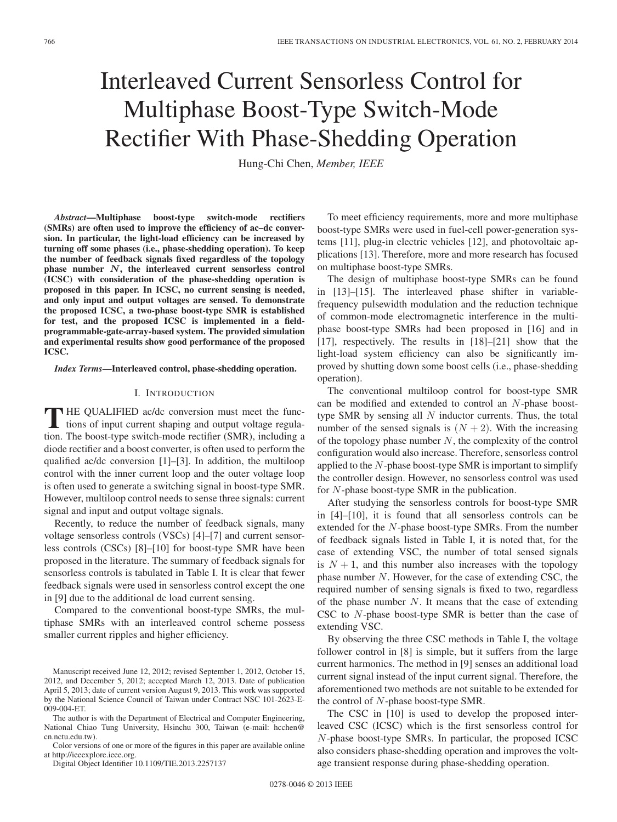# Interleaved Current Sensorless Control for Multiphase Boost-Type Switch-Mode Rectifier With Phase-Shedding Operation

Hung-Chi Chen, *Member, IEEE*

*Abstract***—Multiphase boost-type switch-mode rectifiers (SMRs) are often used to improve the efficiency of ac–dc conversion. In particular, the light-load efficiency can be increased by turning off some phases (i.e., phase-shedding operation). To keep the number of feedback signals fixed regardless of the topology phase number** *N***, the interleaved current sensorless control (ICSC) with consideration of the phase-shedding operation is proposed in this paper. In ICSC, no current sensing is needed, and only input and output voltages are sensed. To demonstrate the proposed ICSC, a two-phase boost-type SMR is established for test, and the proposed ICSC is implemented in a fieldprogrammable-gate-array-based system. The provided simulation and experimental results show good performance of the proposed ICSC.**

*Index Terms***—Interleaved control, phase-shedding operation.**

# I. INTRODUCTION

**T** HE QUALIFIED ac/dc conversion must meet the functions of input current shaping and output voltage regulation. The boost-type switch-mode rectifier (SMR), including a diode rectifier and a boost converter, is often used to perform the qualified ac/dc conversion [1]–[3]. In addition, the multiloop control with the inner current loop and the outer voltage loop is often used to generate a switching signal in boost-type SMR. However, multiloop control needs to sense three signals: current signal and input and output voltage signals.

Recently, to reduce the number of feedback signals, many voltage sensorless controls (VSCs) [4]–[7] and current sensorless controls (CSCs) [8]–[10] for boost-type SMR have been proposed in the literature. The summary of feedback signals for sensorless controls is tabulated in Table I. It is clear that fewer feedback signals were used in sensorless control except the one in [9] due to the additional dc load current sensing.

Compared to the conventional boost-type SMRs, the multiphase SMRs with an interleaved control scheme possess smaller current ripples and higher efficiency.

The author is with the Department of Electrical and Computer Engineering, National Chiao Tung University, Hsinchu 300, Taiwan (e-mail: hcchen@ cn.nctu.edu.tw).

Color versions of one or more of the figures in this paper are available online at http://ieeexplore.ieee.org.

Digital Object Identifier 10.1109/TIE.2013.2257137

To meet efficiency requirements, more and more multiphase boost-type SMRs were used in fuel-cell power-generation systems [11], plug-in electric vehicles [12], and photovoltaic applications [13]. Therefore, more and more research has focused on multiphase boost-type SMRs.

The design of multiphase boost-type SMRs can be found in [13]–[15]. The interleaved phase shifter in variablefrequency pulsewidth modulation and the reduction technique of common-mode electromagnetic interference in the multiphase boost-type SMRs had been proposed in [16] and in [17], respectively. The results in [18]–[21] show that the light-load system efficiency can also be significantly improved by shutting down some boost cells (i.e., phase-shedding operation).

The conventional multiloop control for boost-type SMR can be modified and extended to control an N-phase boosttype SMR by sensing all  $N$  inductor currents. Thus, the total number of the sensed signals is  $(N + 2)$ . With the increasing of the topology phase number  $N$ , the complexity of the control configuration would also increase. Therefore, sensorless control applied to the  $N$ -phase boost-type SMR is important to simplify the controller design. However, no sensorless control was used for N-phase boost-type SMR in the publication.

After studying the sensorless controls for boost-type SMR in [4]–[10], it is found that all sensorless controls can be extended for the N-phase boost-type SMRs. From the number of feedback signals listed in Table I, it is noted that, for the case of extending VSC, the number of total sensed signals is  $N + 1$ , and this number also increases with the topology phase number N. However, for the case of extending CSC, the required number of sensing signals is fixed to two, regardless of the phase number  $N$ . It means that the case of extending CSC to N-phase boost-type SMR is better than the case of extending VSC.

By observing the three CSC methods in Table I, the voltage follower control in [8] is simple, but it suffers from the large current harmonics. The method in [9] senses an additional load current signal instead of the input current signal. Therefore, the aforementioned two methods are not suitable to be extended for the control of  $N$ -phase boost-type SMR.

The CSC in [10] is used to develop the proposed interleaved CSC (ICSC) which is the first sensorless control for N-phase boost-type SMRs. In particular, the proposed ICSC also considers phase-shedding operation and improves the voltage transient response during phase-shedding operation.

Manuscript received June 12, 2012; revised September 1, 2012, October 15, 2012, and December 5, 2012; accepted March 12, 2013. Date of publication April 5, 2013; date of current version August 9, 2013. This work was supported by the National Science Council of Taiwan under Contract NSC 101-2623-E-009-004-ET.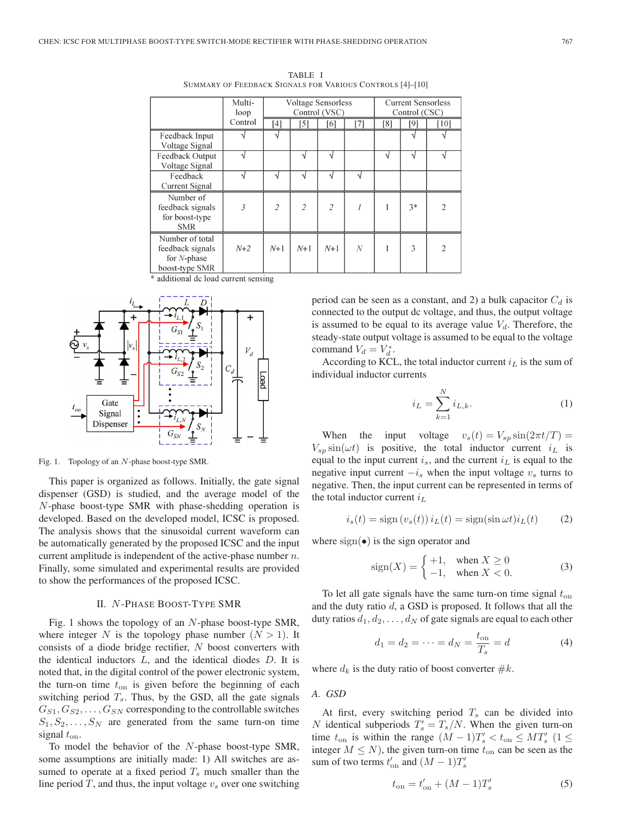|                                                                         | Multi-<br>loop | <b>Voltage Sensorless</b><br>Control (VSC) |                |                | <b>Current Sensorless</b><br>Control (CSC) |     |          |                |
|-------------------------------------------------------------------------|----------------|--------------------------------------------|----------------|----------------|--------------------------------------------|-----|----------|----------------|
|                                                                         | Control        | [4]                                        | [5]            | [6]            | [7]                                        | [8] | [9]      | $[10]$         |
| Feedback Input<br>Voltage Signal                                        |                | N                                          |                |                |                                            |     | $\Delta$ |                |
| Feedback Output<br>Voltage Signal                                       |                |                                            | N              | $\mathbf{v}$   |                                            | V   | $\Delta$ |                |
| Feedback<br>Current Signal                                              |                | ٦l                                         | ٦ί             |                | ٦Ι                                         |     |          |                |
| Number of<br>feedback signals<br>for boost-type<br><b>SMR</b>           | 3              | $\overline{2}$                             | $\overline{2}$ | $\overline{2}$ |                                            | 1   | $3*$     | $\overline{2}$ |
| Number of total<br>feedback signals<br>for $N$ -phase<br>boost-type SMR | $N+2$          | $N+1$                                      | $N+1$          | $N+1$          | N                                          |     | 3        | $\overline{2}$ |

TABLE I SUMMARY OF FEEDBACK SIGNALS FOR VARIOUS CONTROLS [4]–[10]

\* additional dc load current sensing



Fig. 1. Topology of an N-phase boost-type SMR.

This paper is organized as follows. Initially, the gate signal dispenser (GSD) is studied, and the average model of the N-phase boost-type SMR with phase-shedding operation is developed. Based on the developed model, ICSC is proposed. The analysis shows that the sinusoidal current waveform can be automatically generated by the proposed ICSC and the input current amplitude is independent of the active-phase number  $n$ . Finally, some simulated and experimental results are provided to show the performances of the proposed ICSC.

### II. N -PHASE BOOST-TYPE SMR

Fig. 1 shows the topology of an N-phase boost-type SMR, where integer N is the topology phase number  $(N > 1)$ . It consists of a diode bridge rectifier, N boost converters with the identical inductors  $L$ , and the identical diodes  $D$ . It is noted that, in the digital control of the power electronic system, the turn-on time  $t_{on}$  is given before the beginning of each switching period  $T_s$ . Thus, by the GSD, all the gate signals  $G_{S1}, G_{S2}, \ldots, G_{SN}$  corresponding to the controllable switches  $S_1, S_2, \ldots, S_N$  are generated from the same turn-on time signal  $t_{on}$ .

To model the behavior of the N-phase boost-type SMR, some assumptions are initially made: 1) All switches are assumed to operate at a fixed period  $T_s$  much smaller than the line period  $T$ , and thus, the input voltage  $v<sub>s</sub>$  over one switching period can be seen as a constant, and 2) a bulk capacitor  $C_d$  is connected to the output dc voltage, and thus, the output voltage is assumed to be equal to its average value  $V_d$ . Therefore, the steady-state output voltage is assumed to be equal to the voltage command  $V_d = V_d^*$ .

According to KCL, the total inductor current  $i_L$  is the sum of individual inductor currents

$$
i_L = \sum_{k=1}^{N} i_{L,k}.
$$
 (1)

When the input voltage  $v_s(t) = V_{sp} \sin(2\pi t/T)$  =  $V_{sp}$  sin( $\omega t$ ) is positive, the total inductor current  $i<sub>L</sub>$  is equal to the input current  $i_s$ , and the current  $i_L$  is equal to the negative input current  $-i<sub>s</sub>$  when the input voltage  $v<sub>s</sub>$  turns to negative. Then, the input current can be represented in terms of the total inductor current  $i_L$ 

$$
i_s(t) = \text{sign}\left(v_s(t)\right) i_L(t) = \text{sign}(\sin \omega t) i_L(t) \tag{2}
$$

where  $sign(\bullet)$  is the sign operator and

$$
sign(X) = \begin{cases} +1, & when X \ge 0 \\ -1, & when X < 0. \end{cases}
$$
 (3)

To let all gate signals have the same turn-on time signal  $t_{on}$ and the duty ratio  $d$ , a GSD is proposed. It follows that all the duty ratios  $d_1, d_2, \ldots, d_N$  of gate signals are equal to each other

$$
d_1 = d_2 = \dots = d_N = \frac{t_{\text{on}}}{T_s} = d \tag{4}
$$

where  $d_k$  is the duty ratio of boost converter  $\#k$ .

#### *A. GSD*

At first, every switching period  $T_s$  can be divided into N identical subperiods  $T_s' = T_s/N$ . When the given turn-on time  $t_{\text{on}}$  is within the range  $(M-1)T_s' < t_{\text{on}} \leq MT_s'$  (1  $\leq$ integer  $M \leq N$ ), the given turn-on time  $t_{on}$  can be seen as the sum of two terms  $t'_{on}$  and  $(M-1)T'_{s}$ 

$$
t_{\rm on} = t'_{\rm on} + (M - 1)T'_{s}
$$
 (5)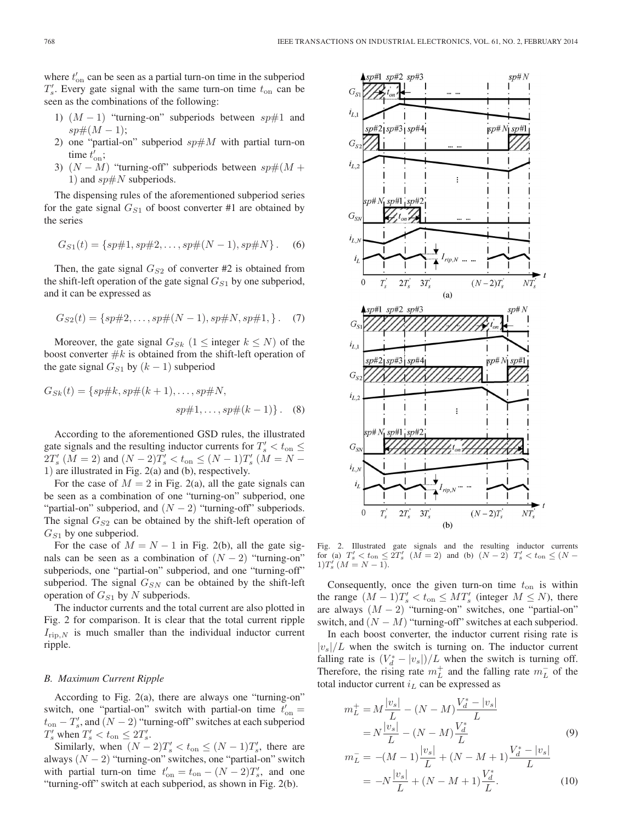where  $t'_{on}$  can be seen as a partial turn-on time in the subperiod  $T_s'$ . Every gate signal with the same turn-on time  $t_{on}$  can be seen as the combinations of the following:

- 1)  $(M-1)$  "turning-on" subperiods between sp#1 and  $sp\#(M-1);$
- 2) one "partial-on" subperiod  $sp \# M$  with partial turn-on time  $t'_{\text{on}}$ ;
- 3)  $(N M)$  "turning-off" subperiods between  $sp\#(M +$ 1) and  $sp\#N$  subperiods.

The dispensing rules of the aforementioned subperiod series for the gate signal  $G_{S1}$  of boost converter #1 are obtained by the series

$$
G_{S1}(t) = \{sp\#1, sp\#2, \dots, sp\#(N-1), sp\#N\}.
$$
 (6)

Then, the gate signal  $G_{S2}$  of converter #2 is obtained from the shift-left operation of the gate signal  $G_{S1}$  by one subperiod, and it can be expressed as

$$
G_{S2}(t) = \{sp\#2, \dots, sp\#(N-1), sp\#N, sp\#1, \}.
$$
 (7)

Moreover, the gate signal  $G_{Sk}$  (1  $\leq$  integer  $k \leq N$ ) of the boost converter  $#k$  is obtained from the shift-left operation of the gate signal  $G_{S1}$  by  $(k - 1)$  subperiod

$$
G_{Sk}(t) = \{sp\#k, sp\#(k+1), \dots, sp\#N, sp\#1, \dots, sp\#(k-1)\}.
$$
 (8)

According to the aforementioned GSD rules, the illustrated gate signals and the resulting inductor currents for  $T_s' < t_{on} \leq$  $2T_s'(M = 2)$  and  $(N - 2)T_s' < t_{\text{on}} \le (N - 1)T_s'(M = N - 1)$ 1) are illustrated in Fig. 2(a) and (b), respectively.

For the case of  $M = 2$  in Fig. 2(a), all the gate signals can be seen as a combination of one "turning-on" subperiod, one "partial-on" subperiod, and  $(N - 2)$  "turning-off" subperiods. The signal  $G_{S2}$  can be obtained by the shift-left operation of  $G_{S1}$  by one subperiod.

For the case of  $M = N - 1$  in Fig. 2(b), all the gate signals can be seen as a combination of  $(N - 2)$  "turning-on" subperiods, one "partial-on" subperiod, and one "turning-off" subperiod. The signal  $G_{SN}$  can be obtained by the shift-left operation of  $G_{S1}$  by N subperiods.

The inductor currents and the total current are also plotted in Fig. 2 for comparison. It is clear that the total current ripple  $I_{\text{rip},N}$  is much smaller than the individual inductor current ripple.

#### *B. Maximum Current Ripple*

According to Fig. 2(a), there are always one "turning-on" switch, one "partial-on" switch with partial-on time  $t'_{on} =$  $t_{\text{on}} - T_s'$ , and  $(N - 2)$  "turning-off" switches at each subperiod  $T_s'$  when  $T_s' < t_{on} \leq 2T_s'$ .

Similarly, when  $(N-2)T_s' < t_{on} \le (N-1)T_s'$ , there are always  $(N - 2)$  "turning-on" switches, one "partial-on" switch with partial turn-on time  $t'_{on} = t_{on} - (N-2)T'_{s}$ , and one "turning-off" switch at each subperiod, as shown in Fig. 2(b).



Fig. 2. Illustrated gate signals and the resulting inductor currents for (a)  $T_s' < t_{\text{on}} \leq 2T_s'$   $(M = 2)$  and (b)  $(N - 2)$   $T_s' < t_{\text{on}} \leq (N - 1)$  $1)T'_{s}(M=N-1).$ 

Consequently, once the given turn-on time  $t_{on}$  is within the range  $(M-1)T_s' < t_{on} \leq MT_s'$  (integer  $M \leq N$ ), there are always  $(M - 2)$  "turning-on" switches, one "partial-on" switch, and  $(N - M)$  "turning-off" switches at each subperiod.

In each boost converter, the inductor current rising rate is  $|v_s|/L$  when the switch is turning on. The inductor current falling rate is  $(V_d^* - |v_s|)/L$  when the switch is turning off. Therefore, the rising rate  $m<sub>L</sub><sup>+</sup>$  and the falling rate  $m<sub>L</sub><sup>-</sup>$  of the total inductor current  $i<sub>L</sub>$  can be expressed as

$$
m_L^+ = M \frac{|v_s|}{L} - (N - M) \frac{V_d^* - |v_s|}{L}
$$
  
=  $N \frac{|v_s|}{L} - (N - M) \frac{V_d^*}{L}$   

$$
m_L^- = -(M - 1) \frac{|v_s|}{L} + (N - M + 1) \frac{V_d^* - |v_s|}{L}
$$
  
=  $-N \frac{|v_s|}{L} + (N - M + 1) \frac{V_d^*}{L}$ . (10)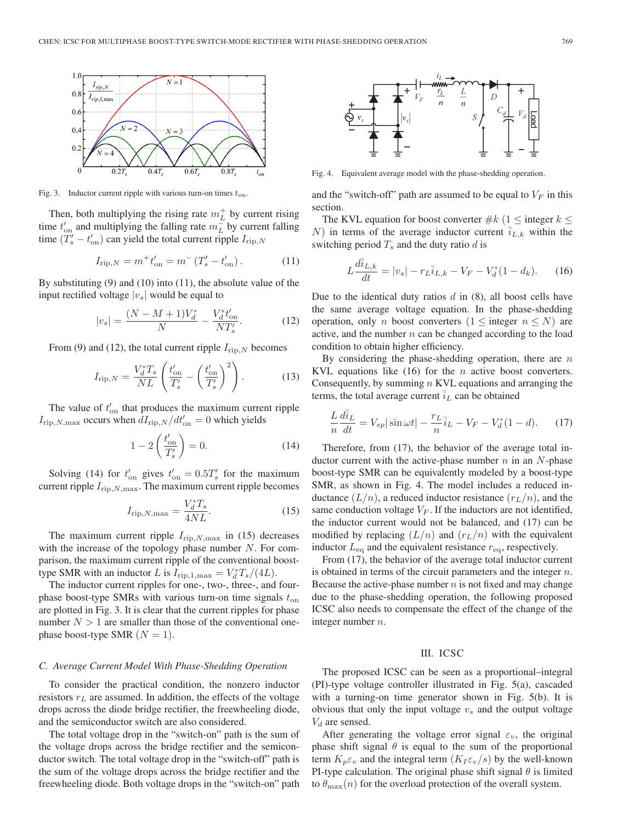

Fig. 3. Inductor current ripple with various turn-on times  $t_{on}$ .

Then, both multiplying the rising rate  $m<sub>L</sub><sup>+</sup>$  by current rising time  $t'_{\text{on}}$  and multiplying the falling rate  $m\bar{t}$  by current falling time  $(T_s' - t_{\text{on}}')$  can yield the total current ripple  $I_{\text{rip},N}$ 

$$
I_{\rm rip,N} = m^+ t'_{\rm on} = m^- \left( T'_s - t'_{\rm on} \right). \tag{11}
$$

By substituting (9) and (10) into (11), the absolute value of the input rectified voltage  $|v_s|$  would be equal to

$$
|v_s| = \frac{(N - M + 1)V_d^*}{N} - \frac{V_d^* t_{\text{on}}'}{NT_s'}.
$$
 (12)

From (9) and (12), the total current ripple  $I_{\text{rip},N}$  becomes

$$
I_{\rm rip,N} = \frac{V_d^* T_s}{NL} \left( \frac{t'_{\rm on}}{T'_s} - \left( \frac{t'_{\rm on}}{T'_s} \right)^2 \right). \tag{13}
$$

The value of  $t'_{on}$  that produces the maximum current ripple  $I_{\text{rip},N,\text{max}}$  occurs when  $dI_{\text{rip},N}/dt'_{\text{on}} = 0$  which yields

$$
1 - 2\left(\frac{t'_{\text{on}}}{T'_s}\right) = 0. \tag{14}
$$

Solving (14) for  $t'_{\text{on}}$  gives  $t'_{\text{on}} = 0.5T'_{s}$  for the maximum current ripple  $I_{\text{rip},N,\text{max}}$ . The maximum current ripple becomes

$$
I_{\rm rip,N,max} = \frac{V_d^* T_s}{4NL}.
$$
\n(15)

The maximum current ripple  $I_{\text{rip},N,\text{max}}$  in (15) decreases with the increase of the topology phase number  $N$ . For comparison, the maximum current ripple of the conventional boosttype SMR with an inductor L is  $I_{\text{rip},1,\text{max}} = V_d^* T_s / (4L)$ .

The inductor current ripples for one-, two-, three-, and fourphase boost-type SMRs with various turn-on time signals  $t_{on}$ are plotted in Fig. 3. It is clear that the current ripples for phase number  $N > 1$  are smaller than those of the conventional onephase boost-type SMR  $(N = 1)$ .

#### *C. Average Current Model With Phase-Shedding Operation*

To consider the practical condition, the nonzero inductor resistors  $r<sub>L</sub>$  are assumed. In addition, the effects of the voltage drops across the diode bridge rectifier, the freewheeling diode, and the semiconductor switch are also considered.

The total voltage drop in the "switch-on" path is the sum of the voltage drops across the bridge rectifier and the semiconductor switch. The total voltage drop in the "switch-off" path is the sum of the voltage drops across the bridge rectifier and the freewheeling diode. Both voltage drops in the "switch-on" path



Fig. 4. Equivalent average model with the phase-shedding operation.

and the "switch-off" path are assumed to be equal to  $V_F$  in this section.

The KVL equation for boost converter  $\#k$  (1  $\leq$  integer  $k \leq$ N) in terms of the average inductor current  $i_{L,k}$  within the switching period  $T_s$  and the duty ratio d is

$$
L\frac{d\bar{u}_{L,k}}{dt} = |v_s| - r_L \bar{u}_{L,k} - V_F - V_d^*(1 - d_k). \tag{16}
$$

Due to the identical duty ratios  $d$  in  $(8)$ , all boost cells have the same average voltage equation. In the phase-shedding operation, only n boost converters  $(1 \leq \text{integer } n \leq N)$  are active, and the number  $n$  can be changed according to the load condition to obtain higher efficiency.

By considering the phase-shedding operation, there are  $n$ KVL equations like  $(16)$  for the *n* active boost converters. Consequently, by summing  $n$  KVL equations and arranging the terms, the total average current  $\overline{i}_L$  can be obtained

$$
\frac{L}{n}\frac{d\overline{i}_L}{dt} = V_{sp}|\sin\omega t| - \frac{r_L}{n}\overline{i}_L - V_F - V_d^*(1-d). \tag{17}
$$

Therefore, from (17), the behavior of the average total inductor current with the active-phase number  $n$  in an  $N$ -phase boost-type SMR can be equivalently modeled by a boost-type SMR, as shown in Fig. 4. The model includes a reduced inductance  $(L/n)$ , a reduced inductor resistance  $(r_L/n)$ , and the same conduction voltage  $V_F$ . If the inductors are not identified, the inductor current would not be balanced, and (17) can be modified by replacing  $(L/n)$  and  $(r_L/n)$  with the equivalent inductor  $L_{\text{eq}}$  and the equivalent resistance  $r_{\text{eq}}$ , respectively.

From (17), the behavior of the average total inductor current is obtained in terms of the circuit parameters and the integer  $n$ . Because the active-phase number  $n$  is not fixed and may change due to the phase-shedding operation, the following proposed ICSC also needs to compensate the effect of the change of the integer number n.

#### III. ICSC

The proposed ICSC can be seen as a proportional–integral (PI)-type voltage controller illustrated in Fig. 5(a), cascaded with a turning-on time generator shown in Fig. 5(b). It is obvious that only the input voltage  $v<sub>s</sub>$  and the output voltage  $V_d$  are sensed.

After generating the voltage error signal  $\varepsilon_v$ , the original phase shift signal  $\theta$  is equal to the sum of the proportional term  $K_p \varepsilon_v$  and the integral term  $(K_I \varepsilon_v/s)$  by the well-known PI-type calculation. The original phase shift signal  $\theta$  is limited to  $\theta_{\text{max}}(n)$  for the overload protection of the overall system.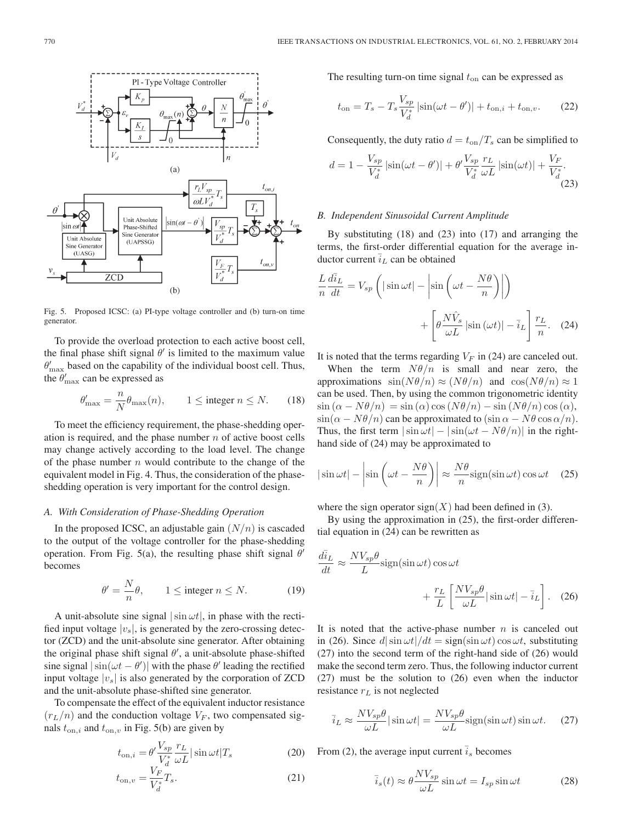

Fig. 5. Proposed ICSC: (a) PI-type voltage controller and (b) turn-on time generator.

To provide the overload protection to each active boost cell, the final phase shift signal  $\theta'$  is limited to the maximum value  $\theta'_{\text{max}}$  based on the capability of the individual boost cell. Thus, the  $\theta'_{\text{max}}$  can be expressed as

$$
\theta'_{\max} = \frac{n}{N} \theta_{\max}(n), \qquad 1 \le \text{integer } n \le N. \tag{18}
$$

To meet the efficiency requirement, the phase-shedding operation is required, and the phase number  $n$  of active boost cells may change actively according to the load level. The change of the phase number  $n$  would contribute to the change of the equivalent model in Fig. 4. Thus, the consideration of the phaseshedding operation is very important for the control design.

# *A. With Consideration of Phase-Shedding Operation*

In the proposed ICSC, an adjustable gain  $(N/n)$  is cascaded to the output of the voltage controller for the phase-shedding operation. From Fig. 5(a), the resulting phase shift signal  $\theta'$ becomes

$$
\theta' = \frac{N}{n}\theta, \qquad 1 \le \text{integer } n \le N. \tag{19}
$$

A unit-absolute sine signal  $|\sin \omega t|$ , in phase with the rectified input voltage  $|v_s|$ , is generated by the zero-crossing detector (ZCD) and the unit-absolute sine generator. After obtaining the original phase shift signal  $\theta'$ , a unit-absolute phase-shifted sine signal  $|\sin(\omega t - \theta')|$  with the phase  $\theta'$  leading the rectified input voltage  $|v_s|$  is also generated by the corporation of ZCD and the unit-absolute phase-shifted sine generator.

To compensate the effect of the equivalent inductor resistance  $(r_L/n)$  and the conduction voltage  $V_F$ , two compensated signals  $t_{on,i}$  and  $t_{on,v}$  in Fig. 5(b) are given by

$$
t_{\mathrm{on},i} = \theta' \frac{V_{sp}}{V_d^*} \frac{r_L}{\omega L} |\sin \omega t| T_s \tag{20}
$$

$$
t_{\text{on},v} = \frac{V_F}{V_d^*} T_s.
$$
 (21)

The resulting turn-on time signal  $t_{on}$  can be expressed as

$$
t_{\rm on} = T_s - T_s \frac{V_{sp}}{V_d^*} |\sin(\omega t - \theta')| + t_{\rm on, i} + t_{\rm on, v}.
$$
 (22)

Consequently, the duty ratio  $d = t_{on}/T_s$  can be simplified to

$$
d = 1 - \frac{V_{sp}}{V_d^*} \left| \sin(\omega t - \theta') \right| + \theta' \frac{V_{sp}}{V_d^*} \frac{r_L}{\omega L} \left| \sin(\omega t) \right| + \frac{V_F}{V_d^*}.
$$
\n(23)

## *B. Independent Sinusoidal Current Amplitude*

By substituting (18) and (23) into (17) and arranging the terms, the first-order differential equation for the average inductor current  $\overline{i}_L$  can be obtained

$$
\frac{L}{n}\frac{d\bar{i}_L}{dt} = V_{sp}\left(|\sin \omega t| - \left|\sin\left(\omega t - \frac{N\theta}{n}\right)\right|\right) + \left[\theta \frac{N\hat{V}_s}{\omega L}|\sin\left(\omega t\right)| - \bar{i}_L\right] \frac{r_L}{n}.
$$
 (24)

It is noted that the terms regarding  $V_F$  in (24) are canceled out.

When the term  $N\theta/n$  is small and near zero, the approximations  $sin(N\theta/n) \approx (N\theta/n)$  and  $cos(N\theta/n) \approx 1$ can be used. Then, by using the common trigonometric identity  $\sin (\alpha - N\theta/n) = \sin (\alpha) \cos (N\theta/n) - \sin (N\theta/n) \cos (\alpha),$  $\sin(\alpha - N\theta/n)$  can be approximated to  $(\sin \alpha - N\theta \cos \alpha/n)$ . Thus, the first term  $|\sin \omega t| - |\sin(\omega t - N\theta/n)|$  in the righthand side of (24) may be approximated to

$$
|\sin \omega t| - \left|\sin \left(\omega t - \frac{N\theta}{n}\right)\right| \approx \frac{N\theta}{n} \text{sign}(\sin \omega t) \cos \omega t \quad (25)
$$

where the sign operator  $sign(X)$  had been defined in (3).

By using the approximation in (25), the first-order differential equation in (24) can be rewritten as

$$
\frac{d\bar{i}_L}{dt} \approx \frac{NV_{sp}\theta}{L} \text{sign}(\sin \omega t) \cos \omega t + \frac{r_L}{L} \left[ \frac{NV_{sp}\theta}{\omega L} | \sin \omega t | - \bar{i}_L \right].
$$
 (26)

It is noted that the active-phase number  $n$  is canceled out in (26). Since  $d|\sin \omega t|/dt = \text{sign}(\sin \omega t) \cos \omega t$ , substituting (27) into the second term of the right-hand side of (26) would make the second term zero. Thus, the following inductor current (27) must be the solution to (26) even when the inductor resistance  $r<sub>L</sub>$  is not neglected

$$
\bar{i}_L \approx \frac{NV_{sp}\theta}{\omega L} |\sin \omega t| = \frac{NV_{sp}\theta}{\omega L} \text{sign}(\sin \omega t) \sin \omega t. \quad (27)
$$

From (2), the average input current  $\bar{i}_s$  becomes

$$
\bar{i}_s(t) \approx \theta \frac{NV_{sp}}{\omega L} \sin \omega t = I_{sp} \sin \omega t \tag{28}
$$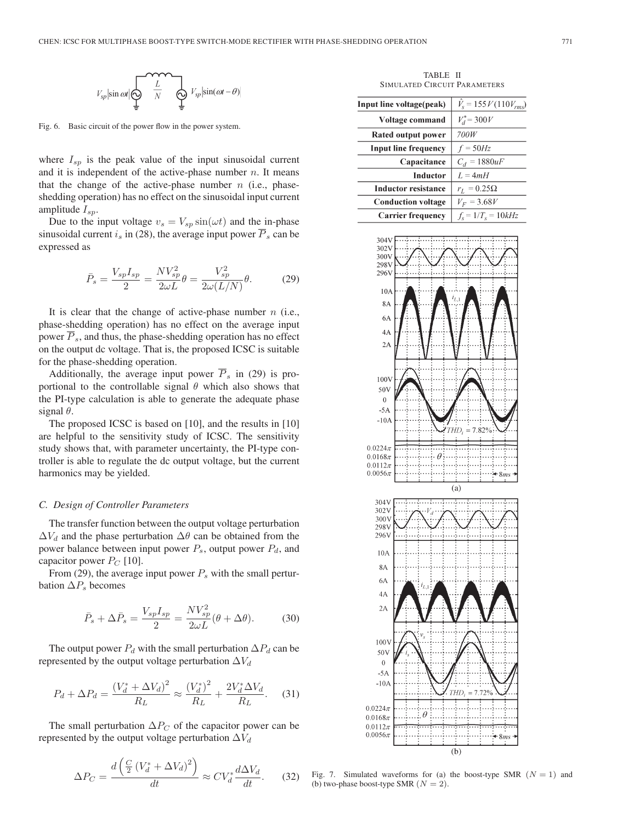

Fig. 6. Basic circuit of the power flow in the power system.

where  $I_{sp}$  is the peak value of the input sinusoidal current and it is independent of the active-phase number  $n$ . It means that the change of the active-phase number  $n$  (i.e., phaseshedding operation) has no effect on the sinusoidal input current amplitude  $I_{sn}$ .

Due to the input voltage  $v_s = V_{sp} \sin(\omega t)$  and the in-phase sinusoidal current  $i_s$  in (28), the average input power  $\overline{P}_s$  can be expressed as

$$
\bar{P}_s = \frac{V_{sp}I_{sp}}{2} = \frac{NV_{sp}^2}{2\omega L}\theta = \frac{V_{sp}^2}{2\omega(L/N)}\theta.
$$
 (29)

It is clear that the change of active-phase number  $n$  (i.e., phase-shedding operation) has no effect on the average input power  $\overline{P}_s$ , and thus, the phase-shedding operation has no effect on the output dc voltage. That is, the proposed ICSC is suitable for the phase-shedding operation.

Additionally, the average input power  $\overline{P}_s$  in (29) is proportional to the controllable signal  $\theta$  which also shows that the PI-type calculation is able to generate the adequate phase signal  $\theta$ .

The proposed ICSC is based on [10], and the results in [10] are helpful to the sensitivity study of ICSC. The sensitivity study shows that, with parameter uncertainty, the PI-type controller is able to regulate the dc output voltage, but the current harmonics may be yielded.

#### *C. Design of Controller Parameters*

The transfer function between the output voltage perturbation  $\Delta V_d$  and the phase perturbation  $\Delta \theta$  can be obtained from the power balance between input power  $P_s$ , output power  $P_d$ , and capacitor power  $P_C$  [10].

From (29), the average input power  $P_s$  with the small perturbation  $\Delta P_s$  becomes

$$
\bar{P}_s + \Delta \bar{P}_s = \frac{V_{sp} I_{sp}}{2} = \frac{N V_{sp}^2}{2\omega L} (\theta + \Delta \theta). \tag{30}
$$

The output power  $P_d$  with the small perturbation  $\Delta P_d$  can be represented by the output voltage perturbation  $\Delta V_d$ 

$$
P_d + \Delta P_d = \frac{(V_d^* + \Delta V_d)^2}{R_L} \approx \frac{(V_d^*)^2}{R_L} + \frac{2V_d^* \Delta V_d}{R_L}.
$$
 (31)

The small perturbation  $\Delta P_C$  of the capacitor power can be represented by the output voltage perturbation  $\Delta V_d$ 

$$
\Delta P_C = \frac{d\left(\frac{C}{2}\left(V_d^* + \Delta V_d\right)^2\right)}{dt} \approx C V_d^* \frac{d\Delta V_d}{dt}.\tag{32}
$$

TABLE II SIMULATED CIRCUIT PARAMETERS

| Input line voltage(peak)    | $V_s = 155 V (110 V_{rms})$       |
|-----------------------------|-----------------------------------|
| Voltage command             | $V_d^* = 300 V$                   |
| Rated output power          | 700W                              |
| <b>Input line frequency</b> | $f = 50Hz$                        |
| Capacitance                 | $C_d = 1880uF$                    |
| Inductor                    | $L = 4mH$                         |
| <b>Inductor resistance</b>  | $r_L = 0.25\Omega$                |
| <b>Conduction voltage</b>   | $V_F = 3.68V$                     |
| <b>Carrier frequency</b>    | $f_{\rm s} = 1/T_{\rm s} = 10kHz$ |



Fig. 7. Simulated waveforms for (a) the boost-type SMR  $(N = 1)$  and (b) two-phase boost-type SMR  $(N = 2)$ .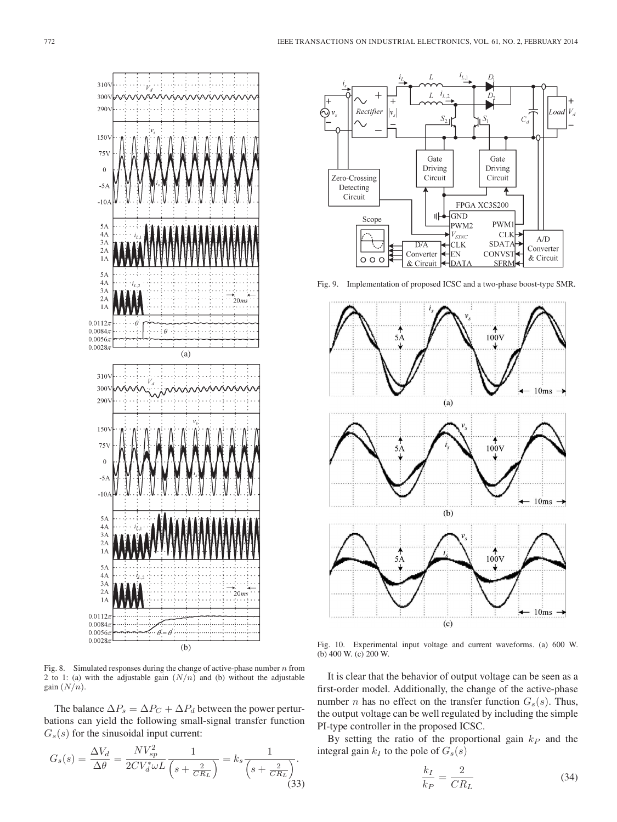

Fig. 8. Simulated responses during the change of active-phase number  $n$  from 2 to 1: (a) with the adjustable gain  $(N/n)$  and (b) without the adjustable gain  $(N/n)$ .

The balance  $\Delta P_s = \Delta P_C + \Delta P_d$  between the power perturbations can yield the following small-signal transfer function  $G<sub>s</sub>(s)$  for the sinusoidal input current:

$$
G_s(s) = \frac{\Delta V_d}{\Delta \theta} = \frac{N V_{sp}^2}{2CV_d^* \omega L} \frac{1}{\left(s + \frac{2}{CR_L}\right)} = k_s \frac{1}{\left(s + \frac{2}{CR_L}\right)}.
$$
\n(33)



Fig. 9. Implementation of proposed ICSC and a two-phase boost-type SMR.



Fig. 10. Experimental input voltage and current waveforms. (a) 600 W. (b) 400 W. (c) 200 W.

It is clear that the behavior of output voltage can be seen as a first-order model. Additionally, the change of the active-phase number *n* has no effect on the transfer function  $G_s(s)$ . Thus, the output voltage can be well regulated by including the simple PI-type controller in the proposed ICSC.

By setting the ratio of the proportional gain  $k_P$  and the integral gain  $k_I$  to the pole of  $G_s(s)$ 

$$
\frac{k_I}{k_P} = \frac{2}{CR_L} \tag{34}
$$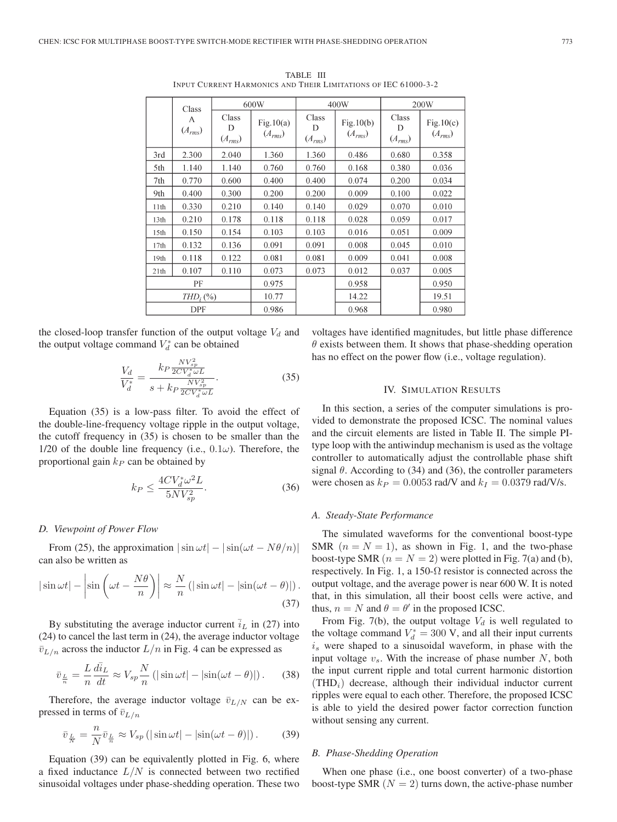| Class            |                  | 600W                      |                             |                           | 400W                     | 200W                      |                          |
|------------------|------------------|---------------------------|-----------------------------|---------------------------|--------------------------|---------------------------|--------------------------|
|                  | A<br>$(A_{rms})$ | Class<br>D<br>$(A_{rms})$ | Fig. $10(a)$<br>$(A_{rms})$ | Class<br>D<br>$(A_{rms})$ | Fig.10(b)<br>$(A_{rms})$ | Class<br>D<br>$(A_{rms})$ | Fig.10(c)<br>$(A_{rms})$ |
| 3rd              | 2.300            | 2.040                     | 1.360                       | 1.360                     | 0.486                    | 0.680                     | 0.358                    |
| 5th              | 1.140            | 1.140                     | 0.760                       | 0.760                     | 0.168                    | 0.380                     | 0.036                    |
| 7th              | 0.770            | 0.600                     | 0.400                       | 0.400                     | 0.074                    | 0.200                     | 0.034                    |
| 9th              | 0.400            | 0.300                     | 0.200                       | 0.200                     | 0.009                    | 0.100                     | 0.022                    |
| 11 <sup>th</sup> | 0.330            | 0.210                     | 0.140                       | 0.140                     | 0.029                    | 0.070                     | 0.010                    |
| 13 <sub>th</sub> | 0.210            | 0.178                     | 0.118                       | 0.118                     | 0.028                    | 0.059                     | 0.017                    |
| 15th             | 0.150            | 0.154                     | 0.103                       | 0.103                     | 0.016                    | 0.051                     | 0.009                    |
| 17th             | 0.132            | 0.136                     | 0.091                       | 0.091                     | 0.008                    | 0.045                     | 0.010                    |
| 19 <sub>th</sub> | 0.118            | 0.122                     | 0.081                       | 0.081                     | 0.009                    | 0.041                     | 0.008                    |
| 21th             | 0.107            | 0.110                     | 0.073                       | 0.073                     | 0.012                    | 0.037                     | 0.005                    |
|                  | PF               |                           | 0.975                       |                           | 0.958                    |                           | 0.950                    |
| $THD_i$ (%)      |                  | 10.77                     |                             | 14.22                     |                          | 19.51                     |                          |
|                  | DPF              |                           | 0.986                       |                           | 0.968                    |                           | 0.980                    |

TABLE III INPUT CURRENT HARMONICS AND THEIR LIMITATIONS OF IEC 61000-3-2

the closed-loop transfer function of the output voltage  $V_d$  and the output voltage command  $V_d^*$  can be obtained

$$
\frac{V_d}{V_d^*} = \frac{k_P \frac{NV_{sp}^2}{2CV_d^* \omega L}}{s + k_P \frac{NV_{sp}^2}{2CV_d^* \omega L}}.
$$
\n(35)

Equation (35) is a low-pass filter. To avoid the effect of the double-line-frequency voltage ripple in the output voltage, the cutoff frequency in (35) is chosen to be smaller than the 1/20 of the double line frequency (i.e.,  $0.1\omega$ ). Therefore, the proportional gain  $k_P$  can be obtained by

$$
k_P \le \frac{4CV_d^* \omega^2 L}{5NV_{sp}^2}.\tag{36}
$$

#### *D. Viewpoint of Power Flow*

From (25), the approximation  $|\sin \omega t| - |\sin(\omega t - N\theta/n)|$ can also be written as

$$
|\sin \omega t| - \left|\sin \left(\omega t - \frac{N\theta}{n}\right)\right| \approx \frac{N}{n} \left(|\sin \omega t| - |\sin(\omega t - \theta)|\right).
$$
\n(37)

By substituting the average inductor current  $\bar{i}_L$  in (27) into (24) to cancel the last term in (24), the average inductor voltage  $\bar{v}_{L/n}$  across the inductor  $L/n$  in Fig. 4 can be expressed as

$$
\bar{v}_{\frac{L}{n}} = \frac{L}{n} \frac{d\bar{i}_L}{dt} \approx V_{sp} \frac{N}{n} \left( |\sin \omega t| - |\sin(\omega t - \theta)| \right). \tag{38}
$$

Therefore, the average inductor voltage  $\bar{v}_{L/N}$  can be expressed in terms of  $\bar{v}_{L/n}$ 

$$
\bar{v}_{\frac{L}{N}} = \frac{n}{N} \bar{v}_{\frac{L}{n}} \approx V_{sp} \left( |\sin \omega t| - |\sin(\omega t - \theta)| \right). \tag{39}
$$

Equation (39) can be equivalently plotted in Fig. 6, where a fixed inductance  $L/N$  is connected between two rectified sinusoidal voltages under phase-shedding operation. These two voltages have identified magnitudes, but little phase difference  $\theta$  exists between them. It shows that phase-shedding operation has no effect on the power flow (i.e., voltage regulation).

## IV. SIMULATION RESULTS

In this section, a series of the computer simulations is provided to demonstrate the proposed ICSC. The nominal values and the circuit elements are listed in Table II. The simple PItype loop with the antiwindup mechanism is used as the voltage controller to automatically adjust the controllable phase shift signal  $\theta$ . According to (34) and (36), the controller parameters were chosen as  $k_P = 0.0053$  rad/V and  $k_I = 0.0379$  rad/V/s.

#### *A. Steady-State Performance*

The simulated waveforms for the conventional boost-type SMR  $(n = N = 1)$ , as shown in Fig. 1, and the two-phase boost-type SMR  $(n = N = 2)$  were plotted in Fig. 7(a) and (b), respectively. In Fig. 1, a 150- $\Omega$  resistor is connected across the output voltage, and the average power is near 600 W. It is noted that, in this simulation, all their boost cells were active, and thus,  $n = N$  and  $\theta = \theta'$  in the proposed ICSC.

From Fig. 7(b), the output voltage  $V_d$  is well regulated to the voltage command  $V_d^* = 300$  V, and all their input currents  $i<sub>s</sub>$  were shaped to a sinusoidal waveform, in phase with the input voltage  $v_s$ . With the increase of phase number N, both the input current ripple and total current harmonic distortion  $(THD<sub>i</sub>)$  decrease, although their individual inductor current ripples were equal to each other. Therefore, the proposed ICSC is able to yield the desired power factor correction function without sensing any current.

# *B. Phase-Shedding Operation*

When one phase (i.e., one boost converter) of a two-phase boost-type SMR  $(N = 2)$  turns down, the active-phase number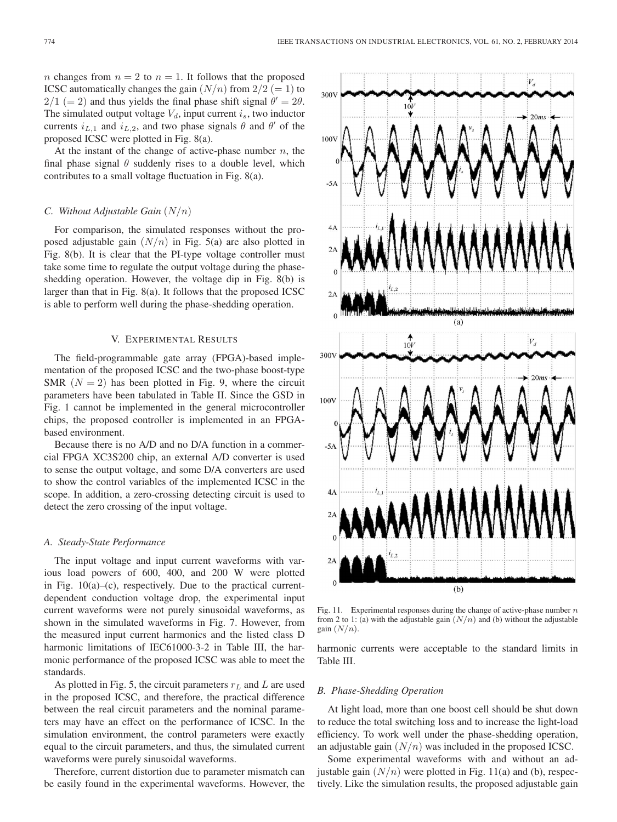*n* changes from  $n = 2$  to  $n = 1$ . It follows that the proposed ICSC automatically changes the gain  $(N/n)$  from  $2/2 (= 1)$  to  $2/1 (= 2)$  and thus yields the final phase shift signal  $\theta' = 2\theta$ . The simulated output voltage  $V_d$ , input current  $i_s$ , two inductor currents  $i_{L,1}$  and  $i_{L,2}$ , and two phase signals  $\theta$  and  $\theta'$  of the proposed ICSC were plotted in Fig. 8(a).

At the instant of the change of active-phase number  $n$ , the final phase signal  $\theta$  suddenly rises to a double level, which contributes to a small voltage fluctuation in Fig. 8(a).

## *C. Without Adjustable Gain* (N/n)

For comparison, the simulated responses without the proposed adjustable gain  $(N/n)$  in Fig. 5(a) are also plotted in Fig. 8(b). It is clear that the PI-type voltage controller must take some time to regulate the output voltage during the phaseshedding operation. However, the voltage dip in Fig. 8(b) is larger than that in Fig. 8(a). It follows that the proposed ICSC is able to perform well during the phase-shedding operation.

#### V. EXPERIMENTAL RESULTS

The field-programmable gate array (FPGA)-based implementation of the proposed ICSC and the two-phase boost-type SMR  $(N = 2)$  has been plotted in Fig. 9, where the circuit parameters have been tabulated in Table II. Since the GSD in Fig. 1 cannot be implemented in the general microcontroller chips, the proposed controller is implemented in an FPGAbased environment.

Because there is no A/D and no D/A function in a commercial FPGA XC3S200 chip, an external A/D converter is used to sense the output voltage, and some D/A converters are used to show the control variables of the implemented ICSC in the scope. In addition, a zero-crossing detecting circuit is used to detect the zero crossing of the input voltage.

## *A. Steady-State Performance*

The input voltage and input current waveforms with various load powers of 600, 400, and 200 W were plotted in Fig.  $10(a)$ –(c), respectively. Due to the practical currentdependent conduction voltage drop, the experimental input current waveforms were not purely sinusoidal waveforms, as shown in the simulated waveforms in Fig. 7. However, from the measured input current harmonics and the listed class D harmonic limitations of IEC61000-3-2 in Table III, the harmonic performance of the proposed ICSC was able to meet the standards.

As plotted in Fig. 5, the circuit parameters  $r<sub>L</sub>$  and L are used in the proposed ICSC, and therefore, the practical difference between the real circuit parameters and the nominal parameters may have an effect on the performance of ICSC. In the simulation environment, the control parameters were exactly equal to the circuit parameters, and thus, the simulated current waveforms were purely sinusoidal waveforms.

Therefore, current distortion due to parameter mismatch can be easily found in the experimental waveforms. However, the



Fig. 11. Experimental responses during the change of active-phase number  $n$ from 2 to 1: (a) with the adjustable gain  $(N/n)$  and (b) without the adjustable gain  $(N/n)$ .

harmonic currents were acceptable to the standard limits in Table III.

#### *B. Phase-Shedding Operation*

At light load, more than one boost cell should be shut down to reduce the total switching loss and to increase the light-load efficiency. To work well under the phase-shedding operation, an adjustable gain  $(N/n)$  was included in the proposed ICSC.

Some experimental waveforms with and without an adjustable gain  $(N/n)$  were plotted in Fig. 11(a) and (b), respectively. Like the simulation results, the proposed adjustable gain